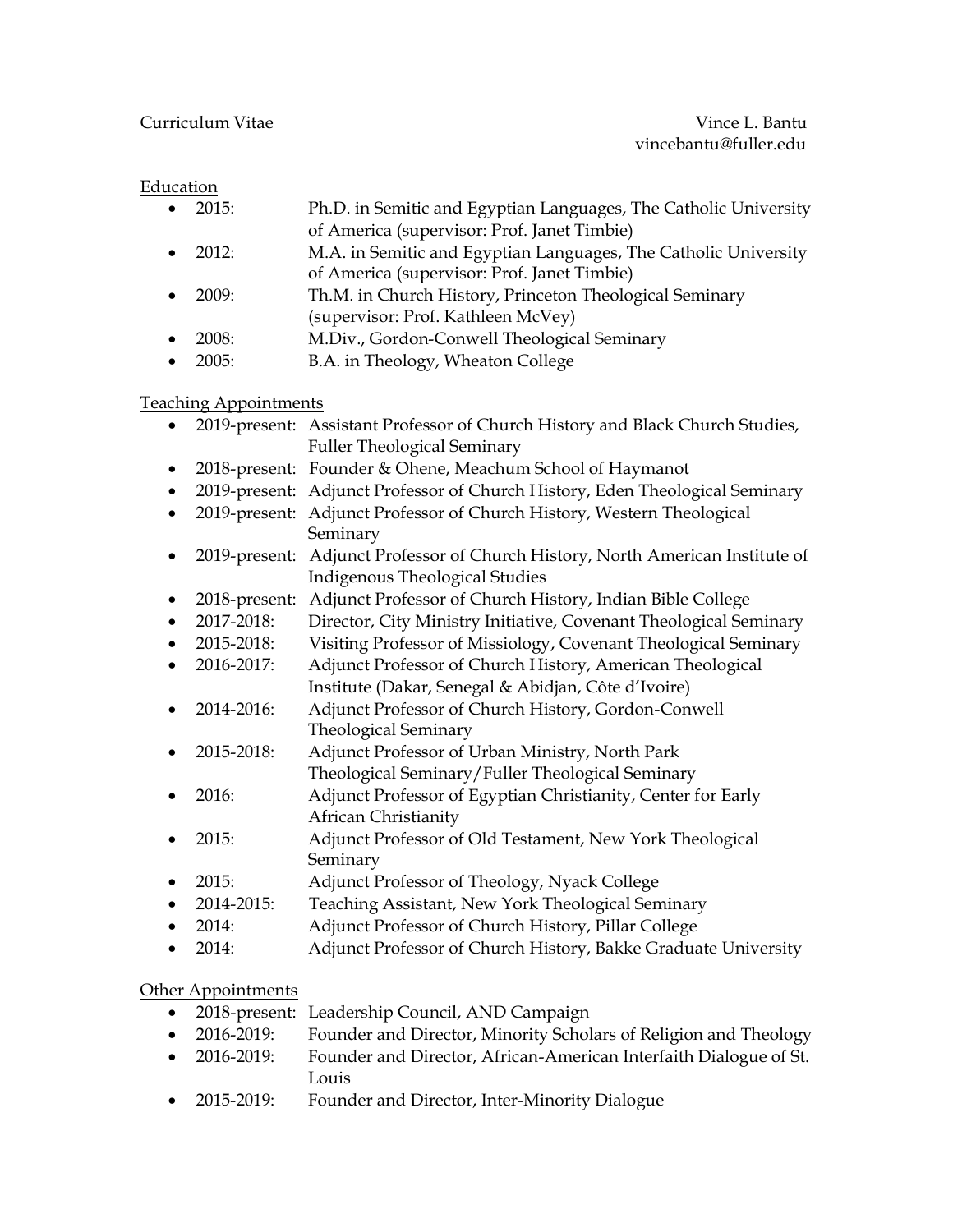# **Education**

| $\bullet$ 2015: | Ph.D. in Semitic and Egyptian Languages, The Catholic University |
|-----------------|------------------------------------------------------------------|
|                 | of America (supervisor: Prof. Janet Timbie)                      |
| • $2012:$       | M.A. in Semitic and Egyptian Languages, The Catholic University  |
|                 | of America (supervisor: Prof. Janet Timbie)                      |
| $\bullet$ 2009: | Th.M. in Church History, Princeton Theological Seminary          |
|                 | (supervisor: Prof. Kathleen McVey)                               |
| $\bullet$ 2008: | M.Div., Gordon-Conwell Theological Seminary                      |
| $\bullet$ 2005: | B.A. in Theology, Wheaton College                                |
|                 |                                                                  |

#### Teaching Appointments

| ٠                  |            | 2019-present: Assistant Professor of Church History and Black Church Studies,  |  |  |
|--------------------|------------|--------------------------------------------------------------------------------|--|--|
|                    |            | <b>Fuller Theological Seminary</b>                                             |  |  |
| ٠                  |            | 2018-present: Founder & Ohene, Meachum School of Haymanot                      |  |  |
| ٠                  |            | 2019-present: Adjunct Professor of Church History, Eden Theological Seminary   |  |  |
|                    |            | 2019-present: Adjunct Professor of Church History, Western Theological         |  |  |
|                    |            | Seminary                                                                       |  |  |
|                    |            | 2019-present: Adjunct Professor of Church History, North American Institute of |  |  |
|                    |            | <b>Indigenous Theological Studies</b>                                          |  |  |
|                    |            | 2018-present: Adjunct Professor of Church History, Indian Bible College        |  |  |
| $\bullet$          | 2017-2018: | Director, City Ministry Initiative, Covenant Theological Seminary              |  |  |
|                    | 2015-2018: | Visiting Professor of Missiology, Covenant Theological Seminary                |  |  |
|                    | 2016-2017: | Adjunct Professor of Church History, American Theological                      |  |  |
|                    |            | Institute (Dakar, Senegal & Abidjan, Côte d'Ivoire)                            |  |  |
|                    | 2014-2016: | Adjunct Professor of Church History, Gordon-Conwell                            |  |  |
|                    |            | <b>Theological Seminary</b>                                                    |  |  |
|                    | 2015-2018: | Adjunct Professor of Urban Ministry, North Park                                |  |  |
|                    |            | Theological Seminary/Fuller Theological Seminary                               |  |  |
|                    | 2016:      | Adjunct Professor of Egyptian Christianity, Center for Early                   |  |  |
|                    |            | African Christianity                                                           |  |  |
|                    | 2015:      | Adjunct Professor of Old Testament, New York Theological                       |  |  |
|                    |            | Seminary                                                                       |  |  |
| ٠                  | 2015:      | Adjunct Professor of Theology, Nyack College                                   |  |  |
|                    | 2014-2015: | Teaching Assistant, New York Theological Seminary                              |  |  |
|                    | 2014:      | Adjunct Professor of Church History, Pillar College                            |  |  |
|                    | 2014:      | Adjunct Professor of Church History, Bakke Graduate University                 |  |  |
|                    |            |                                                                                |  |  |
| Other Appointments |            |                                                                                |  |  |
|                    |            | 2018-present: Leadership Council, AND Campaign                                 |  |  |

- 2016-2019: Founder and Director, Minority Scholars of Religion and Theology
- 2016-2019: Founder and Director, African-American Interfaith Dialogue of St. Louis
- 2015-2019: Founder and Director, Inter-Minority Dialogue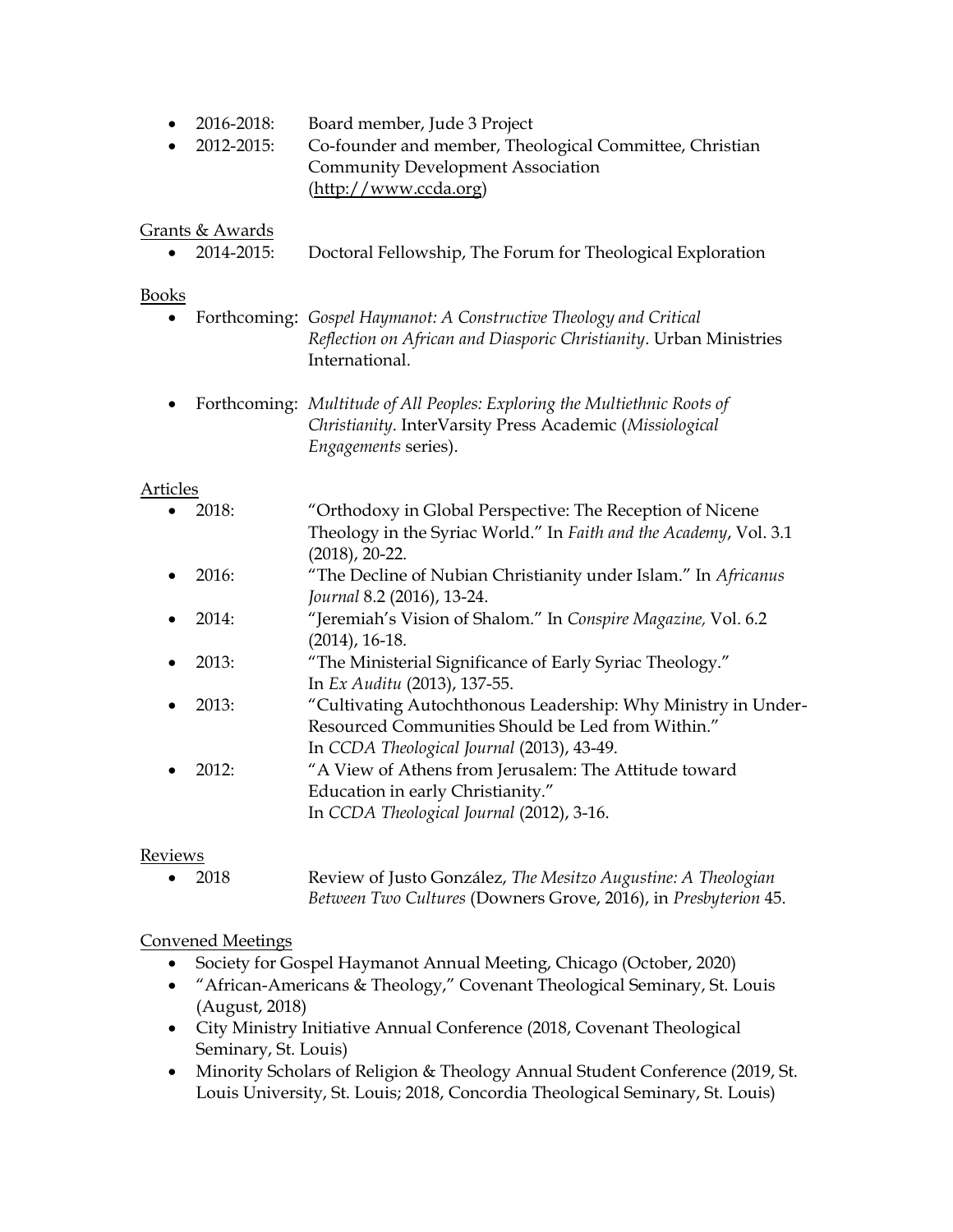- 2016-2018: Board member, Jude 3 Project
- 2012-2015: Co-founder and member, Theological Committee, Christian Community Development Association (http://www.ccda.org)

#### Grants & Awards

• 2014-2015: Doctoral Fellowship, The Forum for Theological Exploration

#### Books

- Forthcoming: *Gospel Haymanot: A Constructive Theology and Critical Reflection on African and Diasporic Christianity*. Urban Ministries International.
- Forthcoming: *Multitude of All Peoples: Exploring the Multiethnic Roots of Christianity*. InterVarsity Press Academic (*Missiological Engagements* series).

#### Articles

|           | 2018: | "Orthodoxy in Global Perspective: The Reception of Nicene         |
|-----------|-------|-------------------------------------------------------------------|
|           |       | Theology in the Syriac World." In Faith and the Academy, Vol. 3.1 |
|           |       | $(2018)$ , 20-22.                                                 |
| $\bullet$ | 2016: | "The Decline of Nubian Christianity under Islam." In Africanus    |
|           |       | Journal 8.2 (2016), 13-24.                                        |
| $\bullet$ | 2014: | "Jeremiah's Vision of Shalom." In Conspire Magazine, Vol. 6.2     |
|           |       | $(2014)$ , 16-18.                                                 |
| $\bullet$ | 2013: | "The Ministerial Significance of Early Syriac Theology."          |
|           |       | In Ex Auditu (2013), 137-55.                                      |
|           | 2013: | "Cultivating Autochthonous Leadership: Why Ministry in Under-     |
|           |       | Resourced Communities Should be Led from Within."                 |
|           |       | In CCDA Theological Journal (2013), 43-49.                        |
|           | 2012: | "A View of Athens from Jerusalem: The Attitude toward             |
|           |       | Education in early Christianity."                                 |
|           |       | In CCDA Theological Journal (2012), 3-16.                         |
|           |       |                                                                   |

#### Reviews

• 2018 Review of Justo González, *The Mesitzo Augustine: A Theologian Between Two Cultures* (Downers Grove, 2016), in *Presbyterion* 45.

#### Convened Meetings

- Society for Gospel Haymanot Annual Meeting, Chicago (October, 2020)
- "African-Americans & Theology," Covenant Theological Seminary, St. Louis (August, 2018)
- City Ministry Initiative Annual Conference (2018, Covenant Theological Seminary, St. Louis)
- Minority Scholars of Religion & Theology Annual Student Conference (2019, St. Louis University, St. Louis; 2018, Concordia Theological Seminary, St. Louis)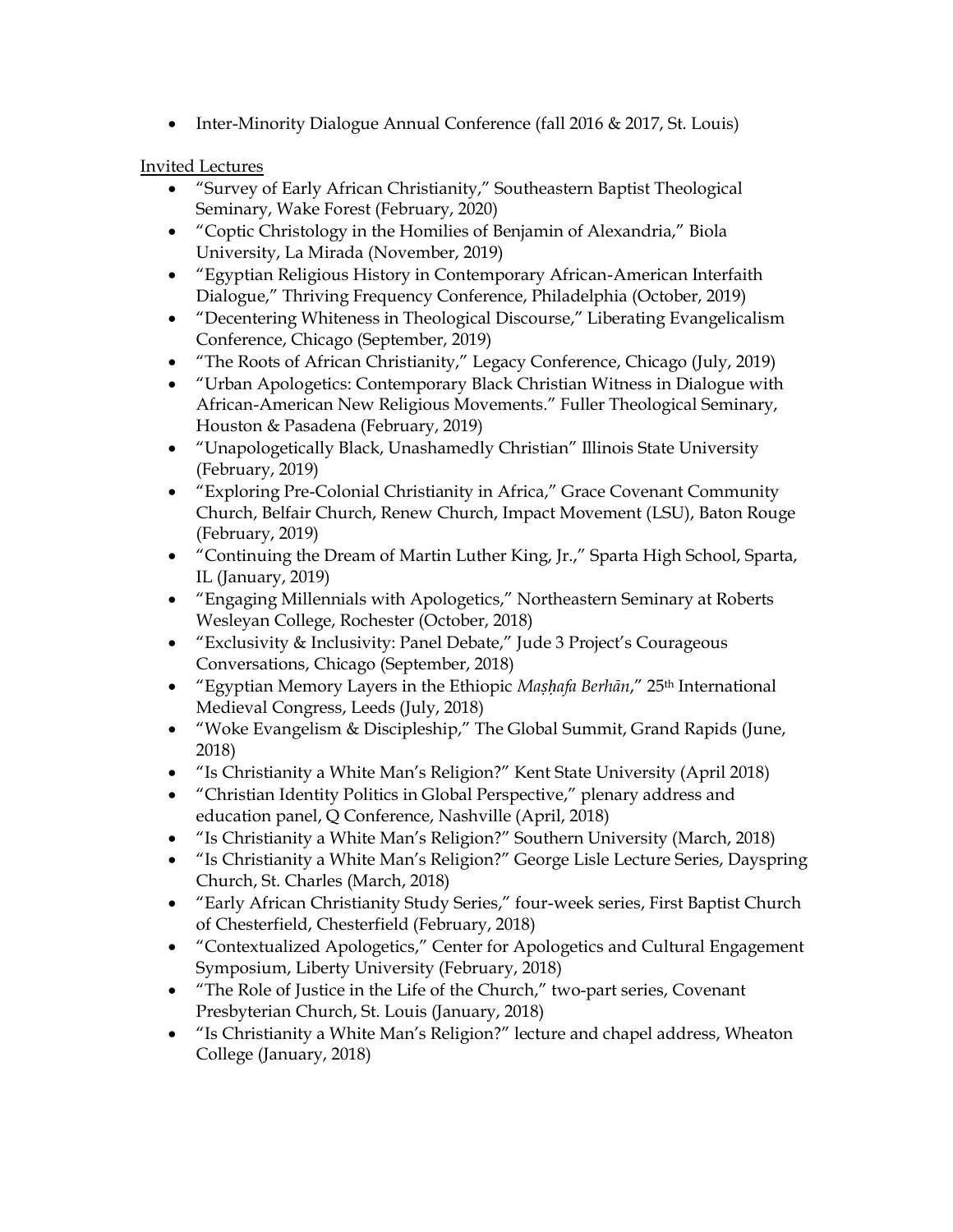• Inter-Minority Dialogue Annual Conference (fall 2016 & 2017, St. Louis)

### Invited Lectures

- "Survey of Early African Christianity," Southeastern Baptist Theological Seminary, Wake Forest (February, 2020)
- "Coptic Christology in the Homilies of Benjamin of Alexandria," Biola University, La Mirada (November, 2019)
- "Egyptian Religious History in Contemporary African-American Interfaith Dialogue," Thriving Frequency Conference, Philadelphia (October, 2019)
- "Decentering Whiteness in Theological Discourse," Liberating Evangelicalism Conference, Chicago (September, 2019)
- "The Roots of African Christianity," Legacy Conference, Chicago (July, 2019)
- "Urban Apologetics: Contemporary Black Christian Witness in Dialogue with African-American New Religious Movements." Fuller Theological Seminary, Houston & Pasadena (February, 2019)
- "Unapologetically Black, Unashamedly Christian" Illinois State University (February, 2019)
- "Exploring Pre-Colonial Christianity in Africa," Grace Covenant Community Church, Belfair Church, Renew Church, Impact Movement (LSU), Baton Rouge (February, 2019)
- "Continuing the Dream of Martin Luther King, Jr.," Sparta High School, Sparta, IL (January, 2019)
- "Engaging Millennials with Apologetics," Northeastern Seminary at Roberts Wesleyan College, Rochester (October, 2018)
- "Exclusivity & Inclusivity: Panel Debate," Jude 3 Project's Courageous Conversations, Chicago (September, 2018)
- "Egyptian Memory Layers in the Ethiopic *Maṣḥafa Berhān*," 25th International Medieval Congress, Leeds (July, 2018)
- "Woke Evangelism & Discipleship," The Global Summit, Grand Rapids (June, 2018)
- "Is Christianity a White Man's Religion?" Kent State University (April 2018)
- "Christian Identity Politics in Global Perspective," plenary address and education panel, Q Conference, Nashville (April, 2018)
- "Is Christianity a White Man's Religion?" Southern University (March, 2018)
- "Is Christianity a White Man's Religion?" George Lisle Lecture Series, Dayspring Church, St. Charles (March, 2018)
- "Early African Christianity Study Series," four-week series, First Baptist Church of Chesterfield, Chesterfield (February, 2018)
- "Contextualized Apologetics," Center for Apologetics and Cultural Engagement Symposium, Liberty University (February, 2018)
- "The Role of Justice in the Life of the Church," two-part series, Covenant Presbyterian Church, St. Louis (January, 2018)
- "Is Christianity a White Man's Religion?" lecture and chapel address, Wheaton College (January, 2018)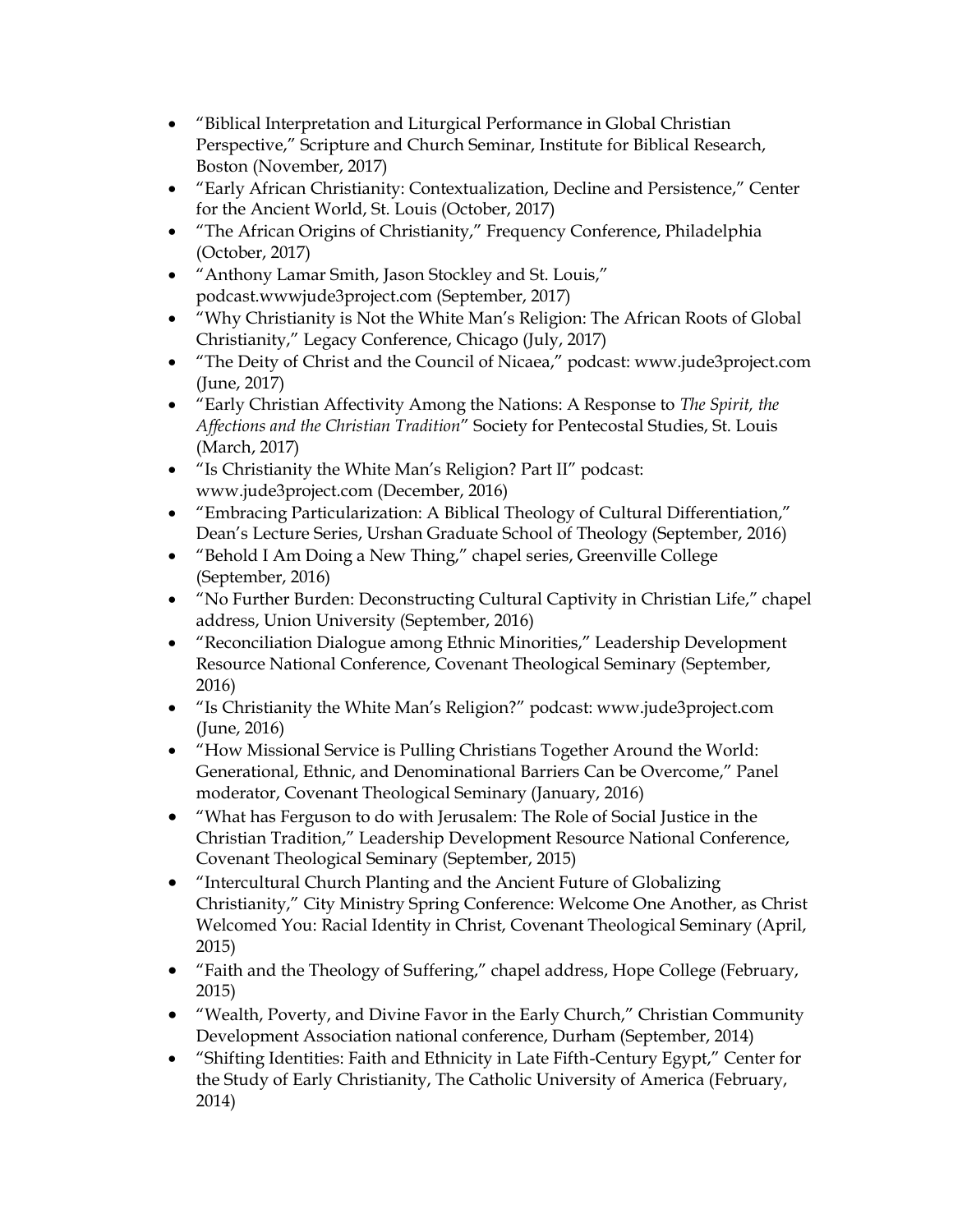- "Biblical Interpretation and Liturgical Performance in Global Christian Perspective," Scripture and Church Seminar, Institute for Biblical Research, Boston (November, 2017)
- "Early African Christianity: Contextualization, Decline and Persistence," Center for the Ancient World, St. Louis (October, 2017)
- "The African Origins of Christianity," Frequency Conference, Philadelphia (October, 2017)
- "Anthony Lamar Smith, Jason Stockley and St. Louis," podcast.wwwjude3project.com (September, 2017)
- "Why Christianity is Not the White Man's Religion: The African Roots of Global Christianity," Legacy Conference, Chicago (July, 2017)
- "The Deity of Christ and the Council of Nicaea," podcast: www.jude3project.com (June, 2017)
- "Early Christian Affectivity Among the Nations: A Response to *The Spirit, the Affections and the Christian Tradition*" Society for Pentecostal Studies, St. Louis (March, 2017)
- "Is Christianity the White Man's Religion? Part II" podcast: www.jude3project.com (December, 2016)
- "Embracing Particularization: A Biblical Theology of Cultural Differentiation," Dean's Lecture Series, Urshan Graduate School of Theology (September, 2016)
- "Behold I Am Doing a New Thing," chapel series, Greenville College (September, 2016)
- "No Further Burden: Deconstructing Cultural Captivity in Christian Life," chapel address, Union University (September, 2016)
- "Reconciliation Dialogue among Ethnic Minorities," Leadership Development Resource National Conference, Covenant Theological Seminary (September, 2016)
- "Is Christianity the White Man's Religion?" podcast: www.jude3project.com (June, 2016)
- "How Missional Service is Pulling Christians Together Around the World: Generational, Ethnic, and Denominational Barriers Can be Overcome," Panel moderator, Covenant Theological Seminary (January, 2016)
- "What has Ferguson to do with Jerusalem: The Role of Social Justice in the Christian Tradition," Leadership Development Resource National Conference, Covenant Theological Seminary (September, 2015)
- "Intercultural Church Planting and the Ancient Future of Globalizing Christianity," City Ministry Spring Conference: Welcome One Another, as Christ Welcomed You: Racial Identity in Christ, Covenant Theological Seminary (April, 2015)
- "Faith and the Theology of Suffering," chapel address, Hope College (February, 2015)
- "Wealth, Poverty, and Divine Favor in the Early Church," Christian Community Development Association national conference, Durham (September, 2014)
- "Shifting Identities: Faith and Ethnicity in Late Fifth-Century Egypt," Center for the Study of Early Christianity, The Catholic University of America (February, 2014)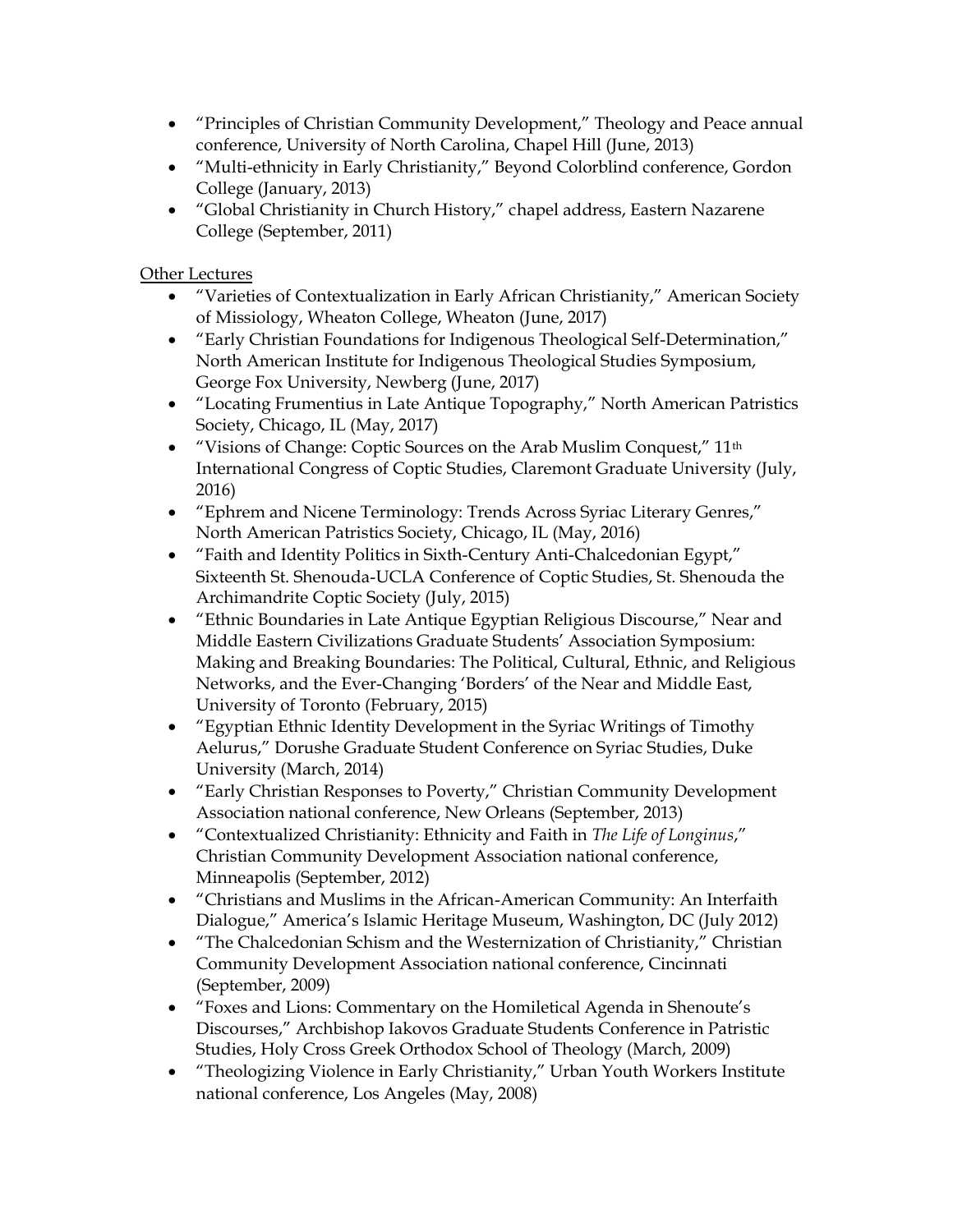- "Principles of Christian Community Development," Theology and Peace annual conference, University of North Carolina, Chapel Hill (June, 2013)
- "Multi-ethnicity in Early Christianity," Beyond Colorblind conference, Gordon College (January, 2013)
- "Global Christianity in Church History," chapel address, Eastern Nazarene College (September, 2011)

## Other Lectures

- "Varieties of Contextualization in Early African Christianity," American Society of Missiology, Wheaton College, Wheaton (June, 2017)
- "Early Christian Foundations for Indigenous Theological Self-Determination," North American Institute for Indigenous Theological Studies Symposium, George Fox University, Newberg (June, 2017)
- "Locating Frumentius in Late Antique Topography," North American Patristics Society, Chicago, IL (May, 2017)
- "Visions of Change: Coptic Sources on the Arab Muslim Conquest," 11<sup>th</sup> International Congress of Coptic Studies, Claremont Graduate University (July, 2016)
- "Ephrem and Nicene Terminology: Trends Across Syriac Literary Genres," North American Patristics Society, Chicago, IL (May, 2016)
- "Faith and Identity Politics in Sixth-Century Anti-Chalcedonian Egypt," Sixteenth St. Shenouda-UCLA Conference of Coptic Studies, St. Shenouda the Archimandrite Coptic Society (July, 2015)
- "Ethnic Boundaries in Late Antique Egyptian Religious Discourse," Near and Middle Eastern Civilizations Graduate Students' Association Symposium: Making and Breaking Boundaries: The Political, Cultural, Ethnic, and Religious Networks, and the Ever-Changing 'Borders' of the Near and Middle East, University of Toronto (February, 2015)
- "Egyptian Ethnic Identity Development in the Syriac Writings of Timothy Aelurus," Dorushe Graduate Student Conference on Syriac Studies, Duke University (March, 2014)
- "Early Christian Responses to Poverty," Christian Community Development Association national conference, New Orleans (September, 2013)
- "Contextualized Christianity: Ethnicity and Faith in *The Life of Longinus*," Christian Community Development Association national conference, Minneapolis (September, 2012)
- "Christians and Muslims in the African-American Community: An Interfaith Dialogue," America's Islamic Heritage Museum, Washington, DC (July 2012)
- "The Chalcedonian Schism and the Westernization of Christianity," Christian Community Development Association national conference, Cincinnati (September, 2009)
- "Foxes and Lions: Commentary on the Homiletical Agenda in Shenoute's Discourses," Archbishop Iakovos Graduate Students Conference in Patristic Studies, Holy Cross Greek Orthodox School of Theology (March, 2009)
- "Theologizing Violence in Early Christianity," Urban Youth Workers Institute national conference, Los Angeles (May, 2008)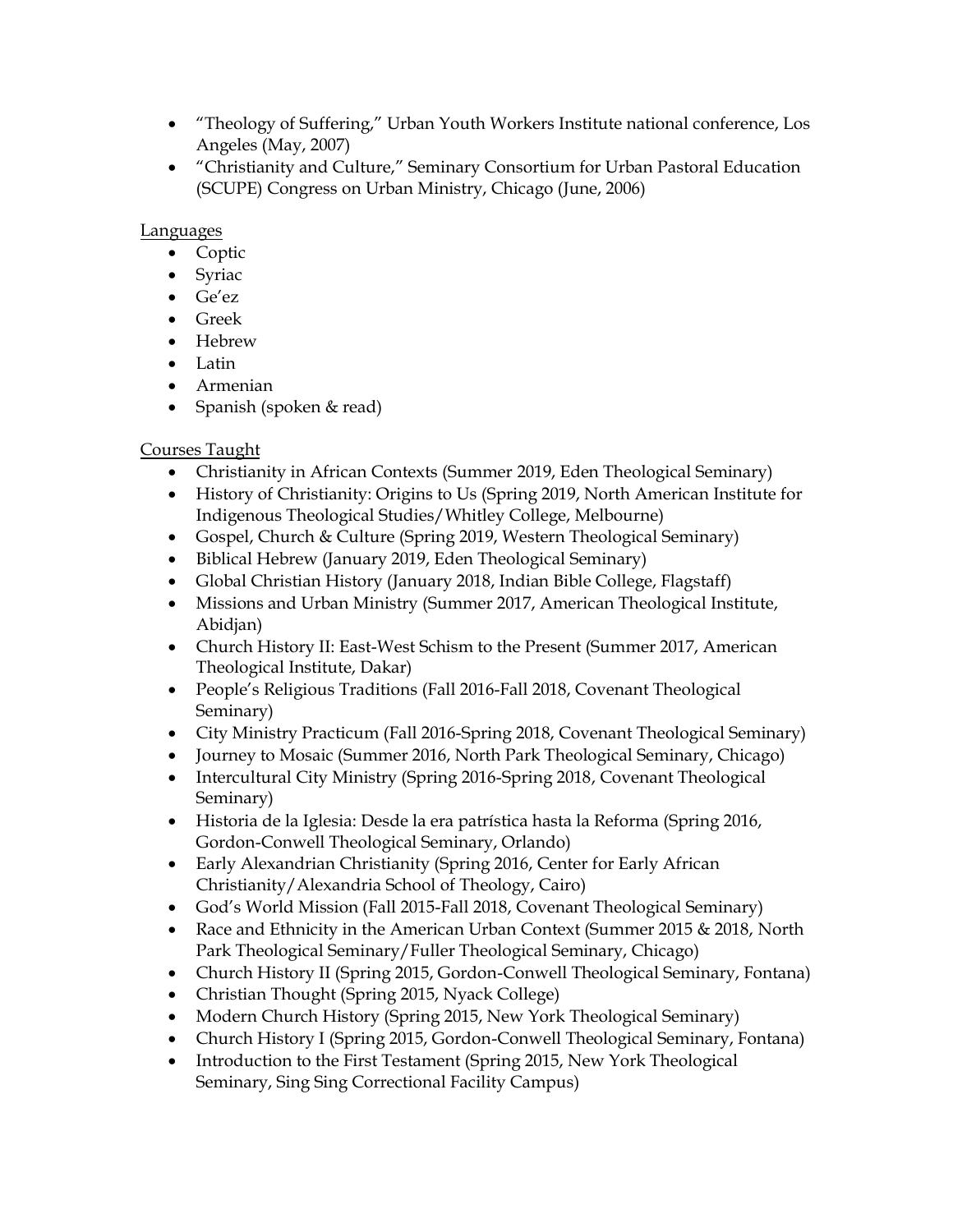- "Theology of Suffering," Urban Youth Workers Institute national conference, Los Angeles (May, 2007)
- "Christianity and Culture," Seminary Consortium for Urban Pastoral Education (SCUPE) Congress on Urban Ministry, Chicago (June, 2006)

#### Languages

- Coptic
- Syriac
- Ge'ez
- Greek
- Hebrew
- Latin
- Armenian
- Spanish (spoken & read)

## Courses Taught

- Christianity in African Contexts (Summer 2019, Eden Theological Seminary)
- History of Christianity: Origins to Us (Spring 2019, North American Institute for Indigenous Theological Studies/Whitley College, Melbourne)
- Gospel, Church & Culture (Spring 2019, Western Theological Seminary)
- Biblical Hebrew (January 2019, Eden Theological Seminary)
- Global Christian History (January 2018, Indian Bible College, Flagstaff)
- Missions and Urban Ministry (Summer 2017, American Theological Institute, Abidjan)
- Church History II: East-West Schism to the Present (Summer 2017, American Theological Institute, Dakar)
- People's Religious Traditions (Fall 2016-Fall 2018, Covenant Theological Seminary)
- City Ministry Practicum (Fall 2016-Spring 2018, Covenant Theological Seminary)
- Journey to Mosaic (Summer 2016, North Park Theological Seminary, Chicago)
- Intercultural City Ministry (Spring 2016-Spring 2018, Covenant Theological Seminary)
- Historia de la Iglesia: Desde la era patrística hasta la Reforma (Spring 2016, Gordon-Conwell Theological Seminary, Orlando)
- Early Alexandrian Christianity (Spring 2016, Center for Early African Christianity/Alexandria School of Theology, Cairo)
- God's World Mission (Fall 2015-Fall 2018, Covenant Theological Seminary)
- Race and Ethnicity in the American Urban Context (Summer 2015 & 2018, North Park Theological Seminary/Fuller Theological Seminary, Chicago)
- Church History II (Spring 2015, Gordon-Conwell Theological Seminary, Fontana)
- Christian Thought (Spring 2015, Nyack College)
- Modern Church History (Spring 2015, New York Theological Seminary)
- Church History I (Spring 2015, Gordon-Conwell Theological Seminary, Fontana)
- Introduction to the First Testament (Spring 2015, New York Theological Seminary, Sing Sing Correctional Facility Campus)